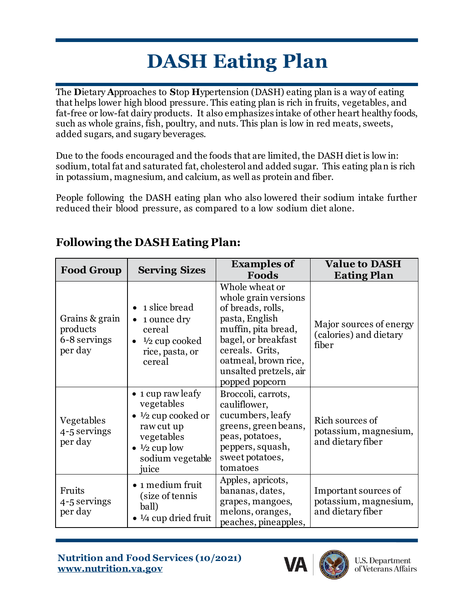## **DASH Eating Plan**

The **D**ietary **A**pproaches to **S**top **H**ypertension (DASH) eating plan is a way of eating that helps lower high blood pressure. This eating plan is rich in fruits, vegetables, and fat-free or low-fat dairy products. It also emphasizes intake of other heart healthy foods, such as whole grains, fish, poultry, and nuts. This plan is low in red meats, sweets, added sugars, and sugary beverages.

Due to the foods encouraged and the foods that are limited, the DASH diet is low in: sodium, total fat and saturated fat, cholesterol and added sugar. This eating plan is rich in potassium, magnesium, and calcium, as well as protein and fiber.

People following the DASH eating plan who also lowered their sodium intake further reduced their blood pressure, as compared to a low sodium diet alone.

| <b>Food Group</b>                                     | <b>Serving Sizes</b>                                                                                                                                                             | <b>Examples of</b><br>Foods                                                                                                                                                                                        | <b>Value to DASH</b><br><b>Eating Plan</b>                         |
|-------------------------------------------------------|----------------------------------------------------------------------------------------------------------------------------------------------------------------------------------|--------------------------------------------------------------------------------------------------------------------------------------------------------------------------------------------------------------------|--------------------------------------------------------------------|
| Grains & grain<br>products<br>6-8 servings<br>per day | 1 slice bread<br>$\bullet$<br>1 ounce dry<br>$\bullet$<br>cereal<br>$\frac{1}{2}$ cup cooked<br>$\bullet$<br>rice, pasta, or<br>cereal                                           | Whole wheat or<br>whole grain versions<br>of breads, rolls,<br>pasta, English<br>muffin, pita bread,<br>bagel, or breakfast<br>cereals. Grits,<br>oatmeal, brown rice,<br>unsalted pretzels, air<br>popped popcorn | Major sources of energy<br>(calories) and dietary<br>fiber         |
| Vegetables<br>4-5 servings<br>per day                 | $\bullet$ 1 cup raw leafy<br>vegetables<br>$\bullet$ 1/2 cup cooked or<br>raw cut up<br>vegetables<br>$\bullet$ <sup>1</sup> / <sub>2</sub> cup low<br>sodium vegetable<br>juice | Broccoli, carrots,<br>cauliflower,<br>cucumbers, leafy<br>greens, green beans,<br>peas, potatoes,<br>peppers, squash,<br>sweet potatoes,<br>tomatoes                                                               | Rich sources of<br>potassium, magnesium,<br>and dietary fiber      |
| Fruits<br>4-5 servings<br>per day                     | • 1 medium fruit<br>(size of tennis<br>ball)<br>$\bullet$ $\frac{1}{4}$ cup dried fruit                                                                                          | Apples, apricots,<br>bananas, dates,<br>grapes, mangoes,<br>melons, oranges,<br>peaches, pineapples,                                                                                                               | Important sources of<br>potassium, magnesium,<br>and dietary fiber |

## **Following the DASH Eating Plan:**

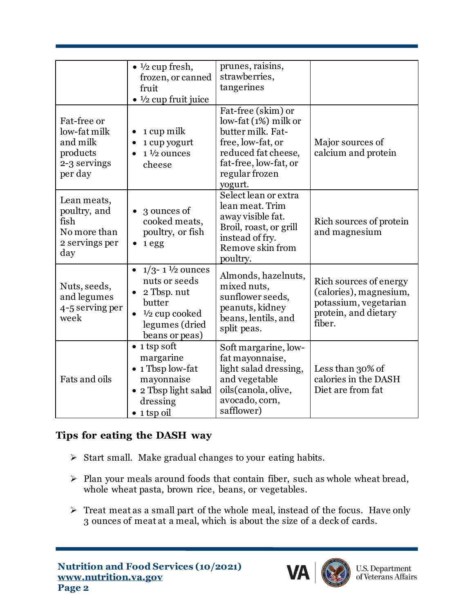|                                                                                | $\bullet$ $\frac{1}{2}$ cup fresh,<br>frozen, or canned<br>fruit<br>$\bullet$ $\frac{1}{2}$ cup fruit juice                                                       | prunes, raisins,<br>strawberries,<br>tangerines                                                                                                                        |                                                                                                             |
|--------------------------------------------------------------------------------|-------------------------------------------------------------------------------------------------------------------------------------------------------------------|------------------------------------------------------------------------------------------------------------------------------------------------------------------------|-------------------------------------------------------------------------------------------------------------|
| Fat-free or<br>low-fat milk<br>and milk<br>products<br>2-3 servings<br>per day | 1 cup milk<br>$\bullet$<br>1 cup yogurt<br>$1\frac{1}{2}$ ounces<br>cheese                                                                                        | Fat-free (skim) or<br>$low$ -fat $(1%)$ milk or<br>butter milk. Fat-<br>free, low-fat, or<br>reduced fat cheese,<br>fat-free, low-fat, or<br>regular frozen<br>yogurt. | Major sources of<br>calcium and protein                                                                     |
| Lean meats,<br>poultry, and<br>fish<br>No more than<br>2 servings per<br>day   | 3 ounces of<br>$\bullet$<br>cooked meats,<br>poultry, or fish<br>$\bullet$ 1 egg                                                                                  | Select lean or extra<br>lean meat. Trim<br>away visible fat.<br>Broil, roast, or grill<br>instead of fry.<br>Remove skin from<br>poultry.                              | Rich sources of protein<br>and magnesium                                                                    |
| Nuts, seeds,<br>and legumes<br>4-5 serving per<br>week                         | $1/3$ -1 $\frac{1}{2}$ ounces<br>$\bullet$<br>nuts or seeds<br>2 Tbsp. nut<br>butter<br>$\frac{1}{2}$ cup cooked<br>$\bullet$<br>legumes (dried<br>beans or peas) | Almonds, hazelnuts,<br>mixed nuts,<br>sunflower seeds,<br>peanuts, kidney<br>beans, lentils, and<br>split peas.                                                        | Rich sources of energy<br>(calories), magnesium,<br>potassium, vegetarian<br>protein, and dietary<br>fiber. |
| Fats and oils                                                                  | $\bullet$ 1 tsp soft<br>margarine<br>• 1 Tbsp low-fat<br>mayonnaise<br>• 2 Tbsp light salad<br>dressing<br>$\bullet$ 1 tsp oil                                    | Soft margarine, low-<br>fat mayonnaise,<br>light salad dressing,<br>and vegetable<br>oils (canola, olive,<br>avocado, corn,<br>safflower)                              | Less than 30% of<br>calories in the DASH<br>Diet are from fat                                               |

## **Tips for eating the DASH way**

- ➢ Start small. Make gradual changes to your eating habits.
- ➢ Plan your meals around foods that contain fiber, such as whole wheat bread, whole wheat pasta, brown rice, beans, or vegetables.
- ➢ Treat meat as a small part of the whole meal, instead of the focus. Have only 3 ounces of meat at a meal, which is about the size of a deck of cards.



U.S. Department<br>of Veterans Affairs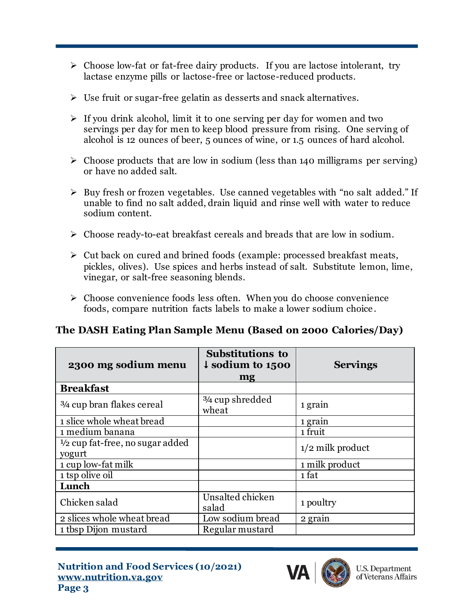- ➢ Choose low-fat or fat-free dairy products. If you are lactose intolerant, try lactase enzyme pills or lactose-free or lactose-reduced products.
- ➢ Use fruit or sugar-free gelatin as desserts and snack alternatives.
- $\triangleright$  If you drink alcohol, limit it to one serving per day for women and two servings per day for men to keep blood pressure from rising. One serving of alcohol is 12 ounces of beer, 5 ounces of wine, or 1.5 ounces of hard alcohol.
- $\triangleright$  Choose products that are low in sodium (less than 140 milligrams per serving) or have no added salt.
- ➢ Buy fresh or frozen vegetables. Use canned vegetables with "no salt added." If unable to find no salt added, drain liquid and rinse well with water to reduce sodium content.
- ➢ Choose ready-to-eat breakfast cereals and breads that are low in sodium.
- ➢ Cut back on cured and brined foods (example: processed breakfast meats, pickles, olives). Use spices and herbs instead of salt. Substitute lemon, lime, vinegar, or salt-free seasoning blends.
- ➢ Choose convenience foods less often. When you do choose convenience foods, compare nutrition facts labels to make a lower sodium choice .

## **The DASH Eating Plan Sample Menu (Based on 2000 Calories/Day)**

| 2300 mg sodium menu                                  | <b>Substitutions to</b><br>$\downarrow$ sodium to 1500<br>mg | <b>Servings</b>      |
|------------------------------------------------------|--------------------------------------------------------------|----------------------|
| <b>Breakfast</b>                                     |                                                              |                      |
| <sup>3</sup> /4 cup bran flakes cereal               | 3/4 cup shredded<br>wheat                                    | 1 grain              |
| 1 slice whole wheat bread                            |                                                              | 1 grain              |
| 1 medium banana                                      |                                                              | $\overline{1}$ fruit |
| $\frac{1}{2}$ cup fat-free, no sugar added<br>yogurt |                                                              | $1/2$ milk product   |
| 1 cup low-fat milk                                   |                                                              | 1 milk product       |
| 1 tsp olive oil                                      |                                                              | 1 fat                |
| Lunch                                                |                                                              |                      |
| Chicken salad                                        | Unsalted chicken<br>salad                                    | 1 poultry            |
| 2 slices whole wheat bread                           | Low sodium bread                                             | 2 grain              |
| 1 tbsp Dijon mustard                                 | Regular mustard                                              |                      |